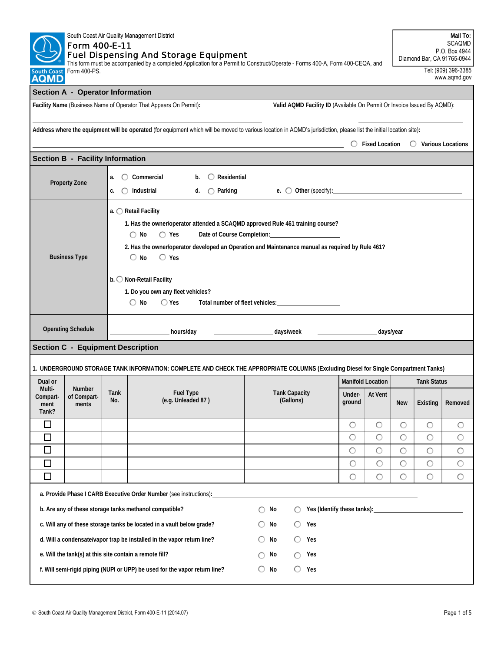| South Coast Air Quality Management District<br>Form 400-E-11<br><b>Fuel Dispensing And Storage Equipment</b><br>This form must be accompanied by a completed Application for a Permit to Construct/Operate - Forms 400-A, Form 400-CEQA, and<br>Form 400-PS.<br><b>Jouth Coast</b><br><b>AQMD</b> |                                                                                                                                                                                                                                                                                                                                                                                                                                                                       |                        |                                                                                                                                     |                                                |    |                                                | Mail To:<br><b>SCAQMD</b><br>P.O. Box 4944<br>Diamond Bar, CA 91765-0944<br>Tel: (909) 396-3385<br>www.aqmd.gov |            |                    |            |            |
|---------------------------------------------------------------------------------------------------------------------------------------------------------------------------------------------------------------------------------------------------------------------------------------------------|-----------------------------------------------------------------------------------------------------------------------------------------------------------------------------------------------------------------------------------------------------------------------------------------------------------------------------------------------------------------------------------------------------------------------------------------------------------------------|------------------------|-------------------------------------------------------------------------------------------------------------------------------------|------------------------------------------------|----|------------------------------------------------|-----------------------------------------------------------------------------------------------------------------|------------|--------------------|------------|------------|
|                                                                                                                                                                                                                                                                                                   | Section A - Operator Information                                                                                                                                                                                                                                                                                                                                                                                                                                      |                        |                                                                                                                                     |                                                |    |                                                |                                                                                                                 |            |                    |            |            |
| Facility Name (Business Name of Operator That Appears On Permit):<br>Valid AQMD Facility ID (Available On Permit Or Invoice Issued By AQMD):                                                                                                                                                      |                                                                                                                                                                                                                                                                                                                                                                                                                                                                       |                        |                                                                                                                                     |                                                |    |                                                |                                                                                                                 |            |                    |            |            |
| Address where the equipment will be operated (for equipment which will be moved to various location in AQMD's jurisdiction, please list the initial location site):<br>$\bigcirc$ Fixed Location<br>$\bigcirc$ Various Locations                                                                  |                                                                                                                                                                                                                                                                                                                                                                                                                                                                       |                        |                                                                                                                                     |                                                |    |                                                |                                                                                                                 |            |                    |            |            |
|                                                                                                                                                                                                                                                                                                   | <b>Section B - Facility Information</b>                                                                                                                                                                                                                                                                                                                                                                                                                               |                        |                                                                                                                                     |                                                |    |                                                |                                                                                                                 |            |                    |            |            |
|                                                                                                                                                                                                                                                                                                   | <b>Property Zone</b>                                                                                                                                                                                                                                                                                                                                                                                                                                                  | $\left( \right)$<br>a. | Commercial<br>b.<br>c. $\bigcirc$ Industrial                                                                                        | $\bigcirc$ Residential<br>d. $\bigcap$ Parking |    | e. $\bigcirc$ Other (specify): $\qquad \qquad$ |                                                                                                                 |            |                    |            |            |
|                                                                                                                                                                                                                                                                                                   | a. ◯ Retail Facility<br>1. Has the owner/operator attended a SCAQMD approved Rule 461 training course?<br>Date of Course Completion: Date of Course Completion:<br>$\bigcirc$ No<br>$\bigcirc$ Yes<br>2. Has the owner/operator developed an Operation and Maintenance manual as required by Rule 461?<br><b>Business Type</b><br>$\bigcirc$ No<br>$\bigcirc$ Yes<br>b. O Non-Retail Facility<br>1. Do you own any fleet vehicles?<br>$\bigcirc$ No<br>$\bigcirc$ Yes |                        |                                                                                                                                     |                                                |    |                                                |                                                                                                                 |            |                    |            |            |
|                                                                                                                                                                                                                                                                                                   | <b>Operating Schedule</b>                                                                                                                                                                                                                                                                                                                                                                                                                                             |                        | hours/day                                                                                                                           |                                                |    | days/week                                      |                                                                                                                 | days/year  |                    |            |            |
|                                                                                                                                                                                                                                                                                                   | <b>Section C - Equipment Description</b>                                                                                                                                                                                                                                                                                                                                                                                                                              |                        |                                                                                                                                     |                                                |    |                                                |                                                                                                                 |            |                    |            |            |
|                                                                                                                                                                                                                                                                                                   |                                                                                                                                                                                                                                                                                                                                                                                                                                                                       |                        | 1. UNDERGROUND STORAGE TANK INFORMATION: COMPLETE AND CHECK THE APPROPRIATE COLUMNS (Excluding Diesel for Single Compartment Tanks) |                                                |    |                                                |                                                                                                                 |            |                    |            |            |
| Dual or                                                                                                                                                                                                                                                                                           |                                                                                                                                                                                                                                                                                                                                                                                                                                                                       |                        |                                                                                                                                     |                                                |    |                                                | <b>Manifold Location</b>                                                                                        |            | <b>Tank Status</b> |            |            |
| Multi-<br>Compart-<br>ment<br>Tank?                                                                                                                                                                                                                                                               | Number<br>of Compart-<br>ments                                                                                                                                                                                                                                                                                                                                                                                                                                        | Tank<br>No.            | <b>Fuel Type</b><br>(e.g. Unleaded 87)                                                                                              |                                                |    | <b>Tank Capacity</b><br>(Gallons)              | Under-<br>ground                                                                                                | At Vent    | <b>New</b>         | Existing   | Removed    |
| $\Box$                                                                                                                                                                                                                                                                                            |                                                                                                                                                                                                                                                                                                                                                                                                                                                                       |                        |                                                                                                                                     |                                                |    |                                                | O                                                                                                               | $\circ$    | O                  | $\circ$    | $\circ$    |
| $\Box$                                                                                                                                                                                                                                                                                            |                                                                                                                                                                                                                                                                                                                                                                                                                                                                       |                        |                                                                                                                                     |                                                |    |                                                | $\circ$                                                                                                         | $\circ$    | $\circ$            | $\circ$    | $\circ$    |
| $\Box$                                                                                                                                                                                                                                                                                            |                                                                                                                                                                                                                                                                                                                                                                                                                                                                       |                        |                                                                                                                                     |                                                |    |                                                | $\circ$                                                                                                         | $\circ$    | $\circ$            | $\circ$    | $\circ$    |
| $\Box$                                                                                                                                                                                                                                                                                            |                                                                                                                                                                                                                                                                                                                                                                                                                                                                       |                        |                                                                                                                                     |                                                |    |                                                | $\circ$                                                                                                         | $\bigcirc$ | $\circ$            | $\bigcirc$ | $\bigcirc$ |
| $\Box$                                                                                                                                                                                                                                                                                            |                                                                                                                                                                                                                                                                                                                                                                                                                                                                       |                        |                                                                                                                                     |                                                |    |                                                | $\circ$                                                                                                         | O          | $\circ$            | $\circ$    | $\bigcirc$ |
| a. Provide Phase I CARB Executive Order Number (see instructions):<br>b. Are any of these storage tanks methanol compatible?<br>Yes (Identify these tanks): Ves (Identify these tanks):<br>No<br>∩                                                                                                |                                                                                                                                                                                                                                                                                                                                                                                                                                                                       |                        |                                                                                                                                     |                                                |    |                                                |                                                                                                                 |            |                    |            |            |
| c. Will any of these storage tanks be located in a vault below grade?<br>Yes<br>No<br>$\bigcirc$                                                                                                                                                                                                  |                                                                                                                                                                                                                                                                                                                                                                                                                                                                       |                        |                                                                                                                                     |                                                |    |                                                |                                                                                                                 |            |                    |            |            |
|                                                                                                                                                                                                                                                                                                   | d. Will a condensate/vapor trap be installed in the vapor return line?<br>No<br>O<br>Yes                                                                                                                                                                                                                                                                                                                                                                              |                        |                                                                                                                                     |                                                |    |                                                |                                                                                                                 |            |                    |            |            |
|                                                                                                                                                                                                                                                                                                   |                                                                                                                                                                                                                                                                                                                                                                                                                                                                       |                        | e. Will the tank(s) at this site contain a remote fill?                                                                             |                                                | No | Yes<br>∩                                       |                                                                                                                 |            |                    |            |            |
| f. Will semi-rigid piping (NUPI or UPP) be used for the vapor return line?<br>No<br>$\circ$<br>Yes<br>O                                                                                                                                                                                           |                                                                                                                                                                                                                                                                                                                                                                                                                                                                       |                        |                                                                                                                                     |                                                |    |                                                |                                                                                                                 |            |                    |            |            |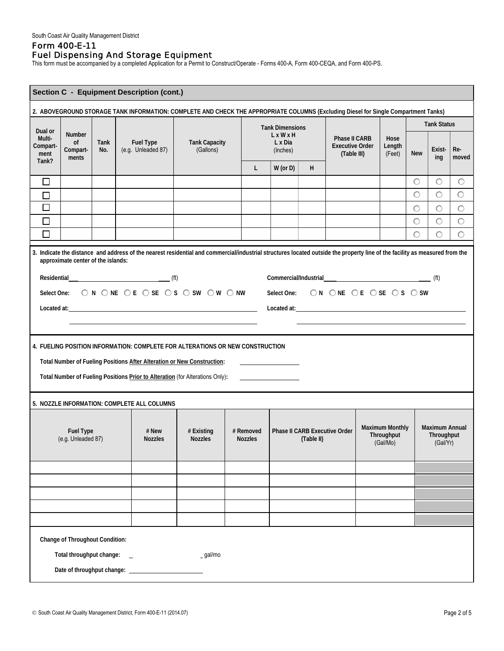# Form 400-E-11 Fuel Dispensing And Storage Equipment

This form must be accompanied by a completed Application for a Permit to Construct/Operate - Forms 400-A, Form 400-CEQA, and Form 400-PS.

| Section C - Equipment Description (cont.)                                                                                           |                                                                                                                                                                                                                                                                                        |             |                                                                                                                                                                             |                                   |  |                        |                                                                                                                                                                                                                                      |   |                                                                                                                                                                                                                                |  |                          |            |                    |              |
|-------------------------------------------------------------------------------------------------------------------------------------|----------------------------------------------------------------------------------------------------------------------------------------------------------------------------------------------------------------------------------------------------------------------------------------|-------------|-----------------------------------------------------------------------------------------------------------------------------------------------------------------------------|-----------------------------------|--|------------------------|--------------------------------------------------------------------------------------------------------------------------------------------------------------------------------------------------------------------------------------|---|--------------------------------------------------------------------------------------------------------------------------------------------------------------------------------------------------------------------------------|--|--------------------------|------------|--------------------|--------------|
| 2. ABOVEGROUND STORAGE TANK INFORMATION: COMPLETE AND CHECK THE APPROPRIATE COLUMNS (Excluding Diesel for Single Compartment Tanks) |                                                                                                                                                                                                                                                                                        |             |                                                                                                                                                                             |                                   |  |                        |                                                                                                                                                                                                                                      |   |                                                                                                                                                                                                                                |  |                          |            |                    |              |
| Dual or                                                                                                                             |                                                                                                                                                                                                                                                                                        |             |                                                                                                                                                                             |                                   |  | <b>Tank Dimensions</b> |                                                                                                                                                                                                                                      |   |                                                                                                                                                                                                                                |  |                          |            | <b>Tank Status</b> |              |
| Multi-<br>Compart-<br>ment<br>Tank?                                                                                                 | <b>Number</b><br><sub>of</sub><br>Compart-<br>ments                                                                                                                                                                                                                                    | Tank<br>No. | <b>Fuel Type</b><br>(e.g. Unleaded 87)                                                                                                                                      | <b>Tank Capacity</b><br>(Gallons) |  |                        | $L \times W \times H$<br>L x Dia<br>(Inches)                                                                                                                                                                                         |   | Phase II CARB<br><b>Executive Order</b><br>(Table III)                                                                                                                                                                         |  | Hose<br>Length<br>(Feet) | <b>New</b> | Exist-<br>ing      | Re-<br>moved |
|                                                                                                                                     |                                                                                                                                                                                                                                                                                        |             |                                                                                                                                                                             |                                   |  | L                      | $W$ (or $D$ )                                                                                                                                                                                                                        | H |                                                                                                                                                                                                                                |  |                          |            |                    |              |
| $\Box$                                                                                                                              |                                                                                                                                                                                                                                                                                        |             |                                                                                                                                                                             |                                   |  |                        |                                                                                                                                                                                                                                      |   |                                                                                                                                                                                                                                |  |                          | $\circ$    | $\circ$            | $\circ$      |
| $\Box$                                                                                                                              |                                                                                                                                                                                                                                                                                        |             |                                                                                                                                                                             |                                   |  |                        |                                                                                                                                                                                                                                      |   |                                                                                                                                                                                                                                |  |                          | $\circ$    | $\circ$            | $\bigcirc$   |
| $\Box$                                                                                                                              |                                                                                                                                                                                                                                                                                        |             |                                                                                                                                                                             |                                   |  |                        |                                                                                                                                                                                                                                      |   |                                                                                                                                                                                                                                |  |                          | $\circ$    | $\circ$            | $\circ$      |
| $\Box$                                                                                                                              |                                                                                                                                                                                                                                                                                        |             |                                                                                                                                                                             |                                   |  |                        |                                                                                                                                                                                                                                      |   |                                                                                                                                                                                                                                |  |                          | $\circ$    | $\bigcirc$         | $\circ$      |
| $\Box$                                                                                                                              |                                                                                                                                                                                                                                                                                        |             |                                                                                                                                                                             |                                   |  |                        |                                                                                                                                                                                                                                      |   |                                                                                                                                                                                                                                |  |                          | $\bigcirc$ | $\circ$            | $\bigcirc$   |
|                                                                                                                                     | approximate center of the islands:                                                                                                                                                                                                                                                     |             | 3. Indicate the distance and address of the nearest residential and commercial/industrial structures located outside the property line of the facility as measured from the |                                   |  |                        |                                                                                                                                                                                                                                      |   |                                                                                                                                                                                                                                |  |                          |            |                    |              |
|                                                                                                                                     |                                                                                                                                                                                                                                                                                        |             |                                                                                                                                                                             |                                   |  |                        |                                                                                                                                                                                                                                      |   |                                                                                                                                                                                                                                |  |                          |            |                    |              |
|                                                                                                                                     |                                                                                                                                                                                                                                                                                        |             | Select One: ON ONE OE OSE OS OSW OW ONW                                                                                                                                     |                                   |  |                        |                                                                                                                                                                                                                                      |   | Select One: ON ONE OE OSE OS OSW                                                                                                                                                                                               |  |                          |            |                    |              |
|                                                                                                                                     |                                                                                                                                                                                                                                                                                        |             |                                                                                                                                                                             |                                   |  |                        |                                                                                                                                                                                                                                      |   | Located at: 100 million and 200 million and 200 million and 200 million and 200 million and 200 million and 200 million and 200 million and 200 million and 200 million and 200 million and 200 million and 200 million and 20 |  |                          |            |                    |              |
|                                                                                                                                     |                                                                                                                                                                                                                                                                                        |             |                                                                                                                                                                             |                                   |  |                        |                                                                                                                                                                                                                                      |   |                                                                                                                                                                                                                                |  |                          |            |                    |              |
|                                                                                                                                     |                                                                                                                                                                                                                                                                                        |             |                                                                                                                                                                             |                                   |  |                        |                                                                                                                                                                                                                                      |   |                                                                                                                                                                                                                                |  |                          |            |                    |              |
|                                                                                                                                     |                                                                                                                                                                                                                                                                                        |             | 4. FUELING POSITION INFORMATION: COMPLETE FOR ALTERATIONS OR NEW CONSTRUCTION                                                                                               |                                   |  |                        |                                                                                                                                                                                                                                      |   |                                                                                                                                                                                                                                |  |                          |            |                    |              |
|                                                                                                                                     |                                                                                                                                                                                                                                                                                        |             | Total Number of Fueling Positions After Alteration or New Construction:                                                                                                     |                                   |  |                        |                                                                                                                                                                                                                                      |   |                                                                                                                                                                                                                                |  |                          |            |                    |              |
|                                                                                                                                     |                                                                                                                                                                                                                                                                                        |             | Total Number of Fueling Positions Prior to Alteration (for Alterations Only):                                                                                               |                                   |  |                        | <u>and the company of the company of the company of the company of the company of the company of the company of the company of the company of the company of the company of the company of the company of the company of the com</u> |   |                                                                                                                                                                                                                                |  |                          |            |                    |              |
|                                                                                                                                     |                                                                                                                                                                                                                                                                                        |             | 5. NOZZLE INFORMATION: COMPLETE ALL COLUMNS                                                                                                                                 |                                   |  |                        |                                                                                                                                                                                                                                      |   |                                                                                                                                                                                                                                |  |                          |            |                    |              |
|                                                                                                                                     |                                                                                                                                                                                                                                                                                        |             |                                                                                                                                                                             |                                   |  |                        |                                                                                                                                                                                                                                      |   |                                                                                                                                                                                                                                |  |                          |            |                    |              |
|                                                                                                                                     | <b>Maximum Monthly</b><br><b>Maximum Annual</b><br>Phase II CARB Executive Order<br><b>Fuel Type</b><br># New<br># Existing<br># Removed<br>Throughput<br>Throughput<br>(e.g. Unleaded 87)<br><b>Nozzles</b><br><b>Nozzles</b><br><b>Nozzles</b><br>(Table II)<br>(Gal/Mo)<br>(Gal/Yr) |             |                                                                                                                                                                             |                                   |  |                        |                                                                                                                                                                                                                                      |   |                                                                                                                                                                                                                                |  |                          |            |                    |              |
|                                                                                                                                     |                                                                                                                                                                                                                                                                                        |             |                                                                                                                                                                             |                                   |  |                        |                                                                                                                                                                                                                                      |   |                                                                                                                                                                                                                                |  |                          |            |                    |              |
|                                                                                                                                     |                                                                                                                                                                                                                                                                                        |             |                                                                                                                                                                             |                                   |  |                        |                                                                                                                                                                                                                                      |   |                                                                                                                                                                                                                                |  |                          |            |                    |              |
|                                                                                                                                     |                                                                                                                                                                                                                                                                                        |             |                                                                                                                                                                             |                                   |  |                        |                                                                                                                                                                                                                                      |   |                                                                                                                                                                                                                                |  |                          |            |                    |              |
|                                                                                                                                     |                                                                                                                                                                                                                                                                                        |             |                                                                                                                                                                             |                                   |  |                        |                                                                                                                                                                                                                                      |   |                                                                                                                                                                                                                                |  |                          |            |                    |              |
|                                                                                                                                     |                                                                                                                                                                                                                                                                                        |             |                                                                                                                                                                             |                                   |  |                        |                                                                                                                                                                                                                                      |   |                                                                                                                                                                                                                                |  |                          |            |                    |              |
|                                                                                                                                     | Change of Throughout Condition:                                                                                                                                                                                                                                                        |             |                                                                                                                                                                             |                                   |  |                        |                                                                                                                                                                                                                                      |   |                                                                                                                                                                                                                                |  |                          |            |                    |              |
|                                                                                                                                     |                                                                                                                                                                                                                                                                                        |             |                                                                                                                                                                             |                                   |  |                        |                                                                                                                                                                                                                                      |   |                                                                                                                                                                                                                                |  |                          |            |                    |              |
|                                                                                                                                     |                                                                                                                                                                                                                                                                                        |             |                                                                                                                                                                             |                                   |  |                        |                                                                                                                                                                                                                                      |   |                                                                                                                                                                                                                                |  |                          |            |                    |              |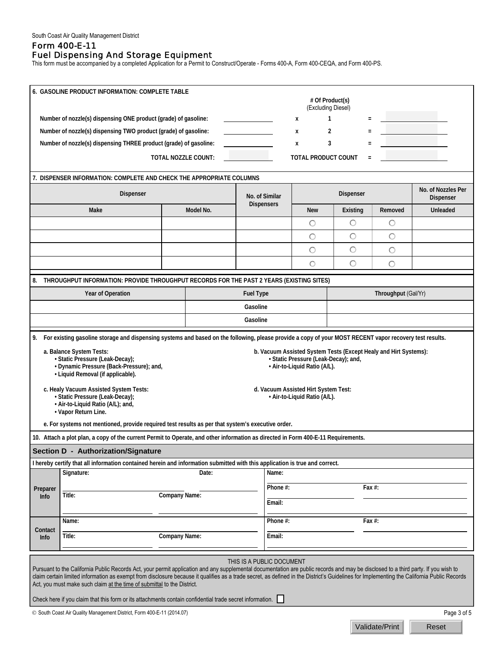# Form 400-E-11 Fuel Dispensing And Storage Equipment

This form must be accompanied by a completed Application for a Permit to Construct/Operate - Forms 400-A, Form 400-CEQA, and Form 400-PS.

| 6. GASOLINE PRODUCT INFORMATION: COMPLETE TABLE                                                                                                                                                                                                                                                                                                                                                                                                                                                                                                                                                                                                                                                                                                                                                                                                                                                                                                                                                                                                                                                                                                                                                                                                      |                                                                                                          |                            |                                     |                            |          |                     |                                 |  |
|------------------------------------------------------------------------------------------------------------------------------------------------------------------------------------------------------------------------------------------------------------------------------------------------------------------------------------------------------------------------------------------------------------------------------------------------------------------------------------------------------------------------------------------------------------------------------------------------------------------------------------------------------------------------------------------------------------------------------------------------------------------------------------------------------------------------------------------------------------------------------------------------------------------------------------------------------------------------------------------------------------------------------------------------------------------------------------------------------------------------------------------------------------------------------------------------------------------------------------------------------|----------------------------------------------------------------------------------------------------------|----------------------------|-------------------------------------|----------------------------|----------|---------------------|---------------------------------|--|
| # Of Product(s)                                                                                                                                                                                                                                                                                                                                                                                                                                                                                                                                                                                                                                                                                                                                                                                                                                                                                                                                                                                                                                                                                                                                                                                                                                      |                                                                                                          |                            |                                     |                            |          |                     |                                 |  |
|                                                                                                                                                                                                                                                                                                                                                                                                                                                                                                                                                                                                                                                                                                                                                                                                                                                                                                                                                                                                                                                                                                                                                                                                                                                      | Number of nozzle(s) dispensing ONE product (grade) of gasoline:                                          |                            | (Excluding Diesel)<br>1<br>X        |                            |          |                     |                                 |  |
|                                                                                                                                                                                                                                                                                                                                                                                                                                                                                                                                                                                                                                                                                                                                                                                                                                                                                                                                                                                                                                                                                                                                                                                                                                                      | Number of nozzle(s) dispensing TWO product (grade) of gasoline:                                          |                            |                                     | 2<br>Х                     |          |                     |                                 |  |
|                                                                                                                                                                                                                                                                                                                                                                                                                                                                                                                                                                                                                                                                                                                                                                                                                                                                                                                                                                                                                                                                                                                                                                                                                                                      | Number of nozzle(s) dispensing THREE product (grade) of gasoline:                                        |                            |                                     | 3<br>X                     |          |                     |                                 |  |
|                                                                                                                                                                                                                                                                                                                                                                                                                                                                                                                                                                                                                                                                                                                                                                                                                                                                                                                                                                                                                                                                                                                                                                                                                                                      |                                                                                                          | <b>TOTAL NOZZLE COUNT:</b> |                                     | <b>TOTAL PRODUCT COUNT</b> |          |                     |                                 |  |
|                                                                                                                                                                                                                                                                                                                                                                                                                                                                                                                                                                                                                                                                                                                                                                                                                                                                                                                                                                                                                                                                                                                                                                                                                                                      |                                                                                                          |                            |                                     |                            |          |                     |                                 |  |
|                                                                                                                                                                                                                                                                                                                                                                                                                                                                                                                                                                                                                                                                                                                                                                                                                                                                                                                                                                                                                                                                                                                                                                                                                                                      | 7. DISPENSER INFORMATION: COMPLETE AND CHECK THE APPROPRIATE COLUMNS                                     |                            |                                     |                            |          |                     |                                 |  |
|                                                                                                                                                                                                                                                                                                                                                                                                                                                                                                                                                                                                                                                                                                                                                                                                                                                                                                                                                                                                                                                                                                                                                                                                                                                      | Dispenser                                                                                                |                            | No. of Similar<br><b>Dispensers</b> | Dispenser                  |          |                     | No. of Nozzles Per<br>Dispenser |  |
|                                                                                                                                                                                                                                                                                                                                                                                                                                                                                                                                                                                                                                                                                                                                                                                                                                                                                                                                                                                                                                                                                                                                                                                                                                                      | Model No.<br>Make                                                                                        |                            |                                     | <b>New</b>                 | Existing | Removed             | <b>Unleaded</b>                 |  |
|                                                                                                                                                                                                                                                                                                                                                                                                                                                                                                                                                                                                                                                                                                                                                                                                                                                                                                                                                                                                                                                                                                                                                                                                                                                      |                                                                                                          |                            |                                     | O                          | О        | O                   |                                 |  |
|                                                                                                                                                                                                                                                                                                                                                                                                                                                                                                                                                                                                                                                                                                                                                                                                                                                                                                                                                                                                                                                                                                                                                                                                                                                      |                                                                                                          |                            |                                     | $\circ$                    | O        | $\circ$             |                                 |  |
|                                                                                                                                                                                                                                                                                                                                                                                                                                                                                                                                                                                                                                                                                                                                                                                                                                                                                                                                                                                                                                                                                                                                                                                                                                                      |                                                                                                          |                            |                                     | $\bigcirc$                 | $\circ$  | $\circ$             |                                 |  |
|                                                                                                                                                                                                                                                                                                                                                                                                                                                                                                                                                                                                                                                                                                                                                                                                                                                                                                                                                                                                                                                                                                                                                                                                                                                      |                                                                                                          |                            |                                     | $\circ$                    | $\circ$  | O                   |                                 |  |
| 8.                                                                                                                                                                                                                                                                                                                                                                                                                                                                                                                                                                                                                                                                                                                                                                                                                                                                                                                                                                                                                                                                                                                                                                                                                                                   | THROUGHPUT INFORMATION: PROVIDE THROUGHPUT RECORDS FOR THE PAST 2 YEARS (EXISTING SITES)                 |                            |                                     |                            |          |                     |                                 |  |
|                                                                                                                                                                                                                                                                                                                                                                                                                                                                                                                                                                                                                                                                                                                                                                                                                                                                                                                                                                                                                                                                                                                                                                                                                                                      | Year of Operation                                                                                        |                            | <b>Fuel Type</b>                    |                            |          | Throughput (Gal/Yr) |                                 |  |
|                                                                                                                                                                                                                                                                                                                                                                                                                                                                                                                                                                                                                                                                                                                                                                                                                                                                                                                                                                                                                                                                                                                                                                                                                                                      |                                                                                                          |                            | Gasoline                            |                            |          |                     |                                 |  |
|                                                                                                                                                                                                                                                                                                                                                                                                                                                                                                                                                                                                                                                                                                                                                                                                                                                                                                                                                                                                                                                                                                                                                                                                                                                      |                                                                                                          |                            | Gasoline                            |                            |          |                     |                                 |  |
| 9. For existing gasoline storage and dispensing systems and based on the following, please provide a copy of your MOST RECENT vapor recovery test results.<br>a. Balance System Tests:<br>b. Vacuum Assisted System Tests (Except Healy and Hirt Systems):<br>· Static Pressure (Leak-Decay);<br>· Static Pressure (Leak-Decay); and,<br>· Dynamic Pressure (Back-Pressure); and,<br>· Air-to-Liquid Ratio (A/L).<br>· Liquid Removal (if applicable).<br>c. Healy Vacuum Assisted System Tests:<br>d. Vacuum Assisted Hirt System Test:<br>· Static Pressure (Leak-Decay);<br>· Air-to-Liquid Ratio (A/L).<br>· Air-to-Liquid Ratio (A/L); and,<br>• Vapor Return Line.<br>e. For systems not mentioned, provide required test results as per that system's executive order.<br>10. Attach a plot plan, a copy of the current Permit to Operate, and other information as directed in Form 400-E-11 Requirements.<br>Section D - Authorization/Signature<br>I hereby certify that all information contained herein and information submitted with this application is true and correct.<br>Date:<br>Signature:<br>Name:<br>Phone #:<br>Fax #:<br>Preparer<br>Title:<br><b>Company Name:</b><br><b>Info</b><br>Email:<br>Name:<br>Phone #:<br>Fax #: |                                                                                                          |                            |                                     |                            |          |                     |                                 |  |
| Contact<br><b>Info</b>                                                                                                                                                                                                                                                                                                                                                                                                                                                                                                                                                                                                                                                                                                                                                                                                                                                                                                                                                                                                                                                                                                                                                                                                                               | Title:<br><b>Company Name:</b>                                                                           |                            | Email:                              |                            |          |                     |                                 |  |
|                                                                                                                                                                                                                                                                                                                                                                                                                                                                                                                                                                                                                                                                                                                                                                                                                                                                                                                                                                                                                                                                                                                                                                                                                                                      |                                                                                                          |                            |                                     |                            |          |                     |                                 |  |
| THIS IS A PUBLIC DOCUMENT<br>Pursuant to the California Public Records Act, your permit application and any supplemental documentation are public records and may be disclosed to a third party. If you wish to<br>claim certain limited information as exempt from disclosure because it qualifies as a trade secret, as defined in the District's Guidelines for Implementing the California Public Records<br>Act, you must make such claim at the time of submittal to the District.                                                                                                                                                                                                                                                                                                                                                                                                                                                                                                                                                                                                                                                                                                                                                             |                                                                                                          |                            |                                     |                            |          |                     |                                 |  |
|                                                                                                                                                                                                                                                                                                                                                                                                                                                                                                                                                                                                                                                                                                                                                                                                                                                                                                                                                                                                                                                                                                                                                                                                                                                      | Check here if you claim that this form or its attachments contain confidential trade secret information. |                            |                                     |                            |          |                     |                                 |  |
| Page 3 of 5<br>© South Coast Air Quality Management District, Form 400-E-11 (2014.07)                                                                                                                                                                                                                                                                                                                                                                                                                                                                                                                                                                                                                                                                                                                                                                                                                                                                                                                                                                                                                                                                                                                                                                |                                                                                                          |                            |                                     |                            |          |                     |                                 |  |

Validate/Print Reset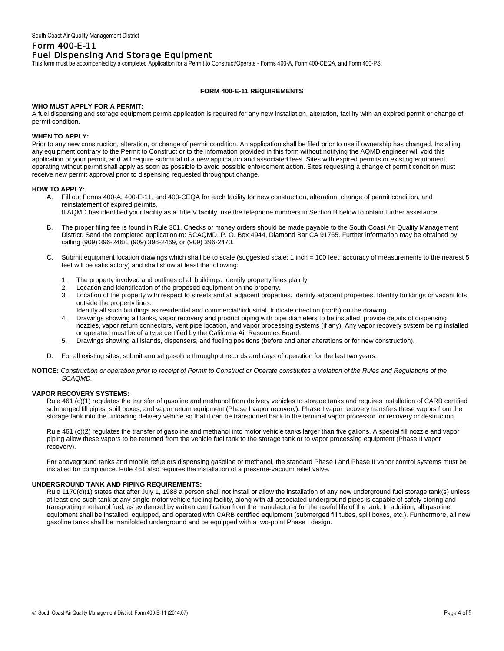## Form 400-E-11 Fuel Dispensing And Storage Equipment

This form must be accompanied by a completed Application for a Permit to Construct/Operate - Forms 400-A, Form 400-CEQA, and Form 400-PS.

### **FORM 400-E-11 REQUIREMENTS**

### **WHO MUST APPLY FOR A PERMIT:**

A fuel dispensing and storage equipment permit application is required for any new installation, alteration, facility with an expired permit or change of permit condition.

#### **WHEN TO APPLY:**

Prior to any new construction, alteration, or change of permit condition. An application shall be filed prior to use if ownership has changed. Installing any equipment contrary to the Permit to Construct or to the information provided in this form without notifying the AQMD engineer will void this application or your permit, and will require submittal of a new application and associated fees. Sites with expired permits or existing equipment operating without permit shall apply as soon as possible to avoid possible enforcement action. Sites requesting a change of permit condition must receive new permit approval prior to dispensing requested throughput change.

#### **HOW TO APPLY:**

A. Fill out Forms 400-A, 400-E-11, and 400-CEQA for each facility for new construction, alteration, change of permit condition, and reinstatement of expired permits.

If AQMD has identified your facility as a Title V facility, use the telephone numbers in Section B below to obtain further assistance.

- B. The proper filing fee is found in Rule 301. Checks or money orders should be made payable to the South Coast Air Quality Management District. Send the completed application to: SCAQMD, P. O. Box 4944, Diamond Bar CA 91765. Further information may be obtained by calling (909) 396-2468, (909) 396-2469, or (909) 396-2470.
- C. Submit equipment location drawings which shall be to scale (suggested scale: 1 inch = 100 feet; accuracy of measurements to the nearest 5 feet will be satisfactory) and shall show at least the following:
	- 1. The property involved and outlines of all buildings. Identify property lines plainly.
	- 2. Location and identification of the proposed equipment on the property.
	- 3. Location of the property with respect to streets and all adjacent properties. Identify adjacent properties. Identify buildings or vacant lots outside the property lines.
	- Identify all such buildings as residential and commercial/industrial. Indicate direction (north) on the drawing.
	- 4. Drawings showing all tanks, vapor recovery and product piping with pipe diameters to be installed, provide details of dispensing nozzles, vapor return connectors, vent pipe location, and vapor processing systems (if any). Any vapor recovery system being installed or operated must be of a type certified by the California Air Resources Board.
	- 5. Drawings showing all islands, dispensers, and fueling positions (before and after alterations or for new construction).
- For all existing sites, submit annual gasoline throughput records and days of operation for the last two years.
- **NOTICE:** *Construction or operation prior to receipt of Permit to Construct or Operate constitutes a violation of the Rules and Regulations of the SCAQMD.*

#### **VAPOR RECOVERY SYSTEMS:**

Rule 461 (c)(1) regulates the transfer of gasoline and methanol from delivery vehicles to storage tanks and requires installation of CARB certified submerged fill pipes, spill boxes, and vapor return equipment (Phase I vapor recovery). Phase I vapor recovery transfers these vapors from the storage tank into the unloading delivery vehicle so that it can be transported back to the terminal vapor processor for recovery or destruction.

Rule 461 (c)(2) regulates the transfer of gasoline and methanol into motor vehicle tanks larger than five gallons. A special fill nozzle and vapor piping allow these vapors to be returned from the vehicle fuel tank to the storage tank or to vapor processing equipment (Phase II vapor recovery).

For aboveground tanks and mobile refuelers dispensing gasoline or methanol, the standard Phase I and Phase II vapor control systems must be installed for compliance. Rule 461 also requires the installation of a pressure-vacuum relief valve.

### **UNDERGROUND TANK AND PIPING REQUIREMENTS:**

Rule 1170(c)(1) states that after July 1, 1988 a person shall not install or allow the installation of any new underground fuel storage tank(s) unless at least one such tank at any single motor vehicle fueling facility, along with all associated underground pipes is capable of safely storing and transporting methanol fuel, as evidenced by written certification from the manufacturer for the useful life of the tank. In addition, all gasoline equipment shall be installed, equipped, and operated with CARB certified equipment (submerged fill tubes, spill boxes, etc.). Furthermore, all new gasoline tanks shall be manifolded underground and be equipped with a two-point Phase I design.